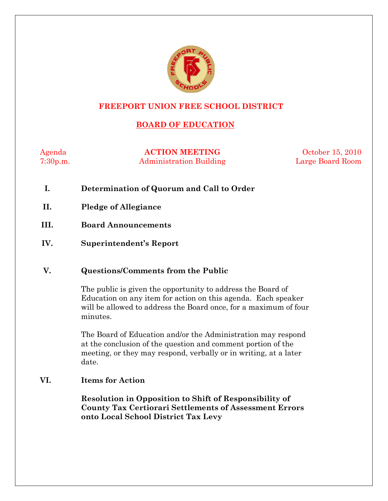

# **FREEPORT UNION FREE SCHOOL DISTRICT**

# **BOARD OF EDUCATION**

Agenda **ACTION MEETING** October 15, 2010 7:30p.m. Administration Building Large Board Room

- **I. Determination of Quorum and Call to Order**
- **II. Pledge of Allegiance**
- **III. Board Announcements**
- **IV. Superintendent's Report**

## **V. Questions/Comments from the Public**

The public is given the opportunity to address the Board of Education on any item for action on this agenda. Each speaker will be allowed to address the Board once, for a maximum of four minutes.

The Board of Education and/or the Administration may respond at the conclusion of the question and comment portion of the meeting, or they may respond, verbally or in writing, at a later date.

## **VI. Items for Action**

**Resolution in Opposition to Shift of Responsibility of County Tax Certiorari Settlements of Assessment Errors onto Local School District Tax Levy**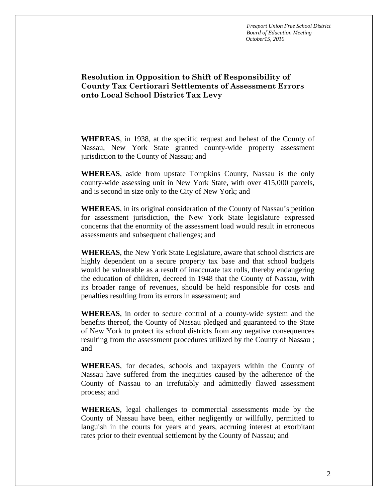*Freeport Union Free School District Board of Education Meeting October15, 2010*

## **Resolution in Opposition to Shift of Responsibility of County Tax Certiorari Settlements of Assessment Errors onto Local School District Tax Levy**

**WHEREAS**, in 1938, at the specific request and behest of the County of Nassau, New York State granted county-wide property assessment jurisdiction to the County of Nassau; and

**WHEREAS**, aside from upstate Tompkins County, Nassau is the only county-wide assessing unit in New York State, with over 415,000 parcels, and is second in size only to the City of New York; and

**WHEREAS**, in its original consideration of the County of Nassau's petition for assessment jurisdiction, the New York State legislature expressed concerns that the enormity of the assessment load would result in erroneous assessments and subsequent challenges; and

**WHEREAS**, the New York State Legislature, aware that school districts are highly dependent on a secure property tax base and that school budgets would be vulnerable as a result of inaccurate tax rolls, thereby endangering the education of children, decreed in 1948 that the County of Nassau, with its broader range of revenues, should be held responsible for costs and penalties resulting from its errors in assessment; and

**WHEREAS**, in order to secure control of a county-wide system and the benefits thereof, the County of Nassau pledged and guaranteed to the State of New York to protect its school districts from any negative consequences resulting from the assessment procedures utilized by the County of Nassau ; and

**WHEREAS**, for decades, schools and taxpayers within the County of Nassau have suffered from the inequities caused by the adherence of the County of Nassau to an irrefutably and admittedly flawed assessment process; and

**WHEREAS**, legal challenges to commercial assessments made by the County of Nassau have been, either negligently or willfully, permitted to languish in the courts for years and years, accruing interest at exorbitant rates prior to their eventual settlement by the County of Nassau; and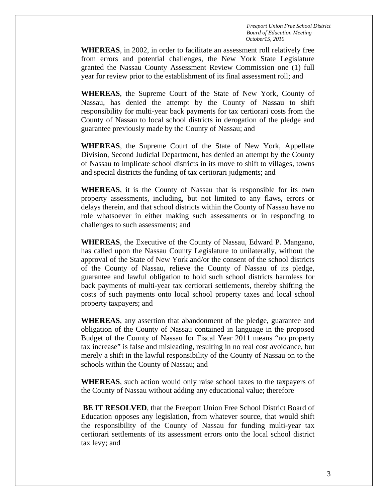*Freeport Union Free School District Board of Education Meeting October15, 2010*

**WHEREAS**, in 2002, in order to facilitate an assessment roll relatively free from errors and potential challenges, the New York State Legislature granted the Nassau County Assessment Review Commission one (1) full year for review prior to the establishment of its final assessment roll; and

**WHEREAS**, the Supreme Court of the State of New York, County of Nassau, has denied the attempt by the County of Nassau to shift responsibility for multi-year back payments for tax certiorari costs from the County of Nassau to local school districts in derogation of the pledge and guarantee previously made by the County of Nassau; and

**WHEREAS**, the Supreme Court of the State of New York, Appellate Division, Second Judicial Department, has denied an attempt by the County of Nassau to implicate school districts in its move to shift to villages, towns and special districts the funding of tax certiorari judgments; and

**WHEREAS**, it is the County of Nassau that is responsible for its own property assessments, including, but not limited to any flaws, errors or delays therein, and that school districts within the County of Nassau have no role whatsoever in either making such assessments or in responding to challenges to such assessments; and

**WHEREAS**, the Executive of the County of Nassau, Edward P. Mangano, has called upon the Nassau County Legislature to unilaterally, without the approval of the State of New York and/or the consent of the school districts of the County of Nassau, relieve the County of Nassau of its pledge, guarantee and lawful obligation to hold such school districts harmless for back payments of multi-year tax certiorari settlements, thereby shifting the costs of such payments onto local school property taxes and local school property taxpayers; and

**WHEREAS**, any assertion that abandonment of the pledge, guarantee and obligation of the County of Nassau contained in language in the proposed Budget of the County of Nassau for Fiscal Year 2011 means "no property tax increase" is false and misleading, resulting in no real cost avoidance, but merely a shift in the lawful responsibility of the County of Nassau on to the schools within the County of Nassau; and

**WHEREAS**, such action would only raise school taxes to the taxpayers of the County of Nassau without adding any educational value; therefore

**BE IT RESOLVED**, that the Freeport Union Free School District Board of Education opposes any legislation, from whatever source, that would shift the responsibility of the County of Nassau for funding multi-year tax certiorari settlements of its assessment errors onto the local school district tax levy; and